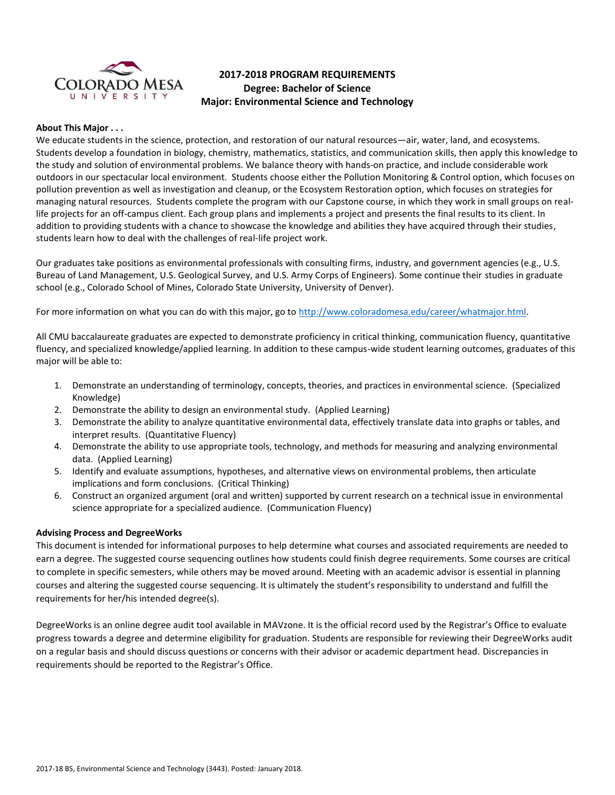

# **2017-2018 PROGRAM REQUIREMENTS Degree: Bachelor of Science Major: Environmental Science and Technology**

### **About This Major . . .**

We educate students in the science, protection, and restoration of our natural resources—air, water, land, and ecosystems. Students develop a foundation in biology, chemistry, mathematics, statistics, and communication skills, then apply this knowledge to the study and solution of environmental problems. We balance theory with hands-on practice, and include considerable work outdoors in our spectacular local environment. Students choose either the Pollution Monitoring & Control option, which focuses on pollution prevention as well as investigation and cleanup, or the Ecosystem Restoration option, which focuses on strategies for managing natural resources. Students complete the program with our Capstone course, in which they work in small groups on reallife projects for an off-campus client. Each group plans and implements a project and presents the final results to its client. In addition to providing students with a chance to showcase the knowledge and abilities they have acquired through their studies, students learn how to deal with the challenges of real-life project work.

Our graduates take positions as environmental professionals with consulting firms, industry, and government agencies (e.g., U.S. Bureau of Land Management, U.S. Geological Survey, and U.S. Army Corps of Engineers). Some continue their studies in graduate school (e.g., Colorado School of Mines, Colorado State University, University of Denver).

For more information on what you can do with this major, go to [http://www.coloradomesa.edu/career/whatmajor.html.](http://www.coloradomesa.edu/career/whatmajor.html)

All CMU baccalaureate graduates are expected to demonstrate proficiency in critical thinking, communication fluency, quantitative fluency, and specialized knowledge/applied learning. In addition to these campus-wide student learning outcomes, graduates of this major will be able to:

- 1. Demonstrate an understanding of terminology, concepts, theories, and practices in environmental science. (Specialized Knowledge)
- 2. Demonstrate the ability to design an environmental study. (Applied Learning)
- 3. Demonstrate the ability to analyze quantitative environmental data, effectively translate data into graphs or tables, and interpret results. (Quantitative Fluency)
- 4. Demonstrate the ability to use appropriate tools, technology, and methods for measuring and analyzing environmental data. (Applied Learning)
- 5. Identify and evaluate assumptions, hypotheses, and alternative views on environmental problems, then articulate implications and form conclusions. (Critical Thinking)
- 6. Construct an organized argument (oral and written) supported by current research on a technical issue in environmental science appropriate for a specialized audience. (Communication Fluency)

### **Advising Process and DegreeWorks**

This document is intended for informational purposes to help determine what courses and associated requirements are needed to earn a degree. The suggested course sequencing outlines how students could finish degree requirements. Some courses are critical to complete in specific semesters, while others may be moved around. Meeting with an academic advisor is essential in planning courses and altering the suggested course sequencing. It is ultimately the student's responsibility to understand and fulfill the requirements for her/his intended degree(s).

DegreeWorks is an online degree audit tool available in MAVzone. It is the official record used by the Registrar's Office to evaluate progress towards a degree and determine eligibility for graduation. Students are responsible for reviewing their DegreeWorks audit on a regular basis and should discuss questions or concerns with their advisor or academic department head. Discrepancies in requirements should be reported to the Registrar's Office.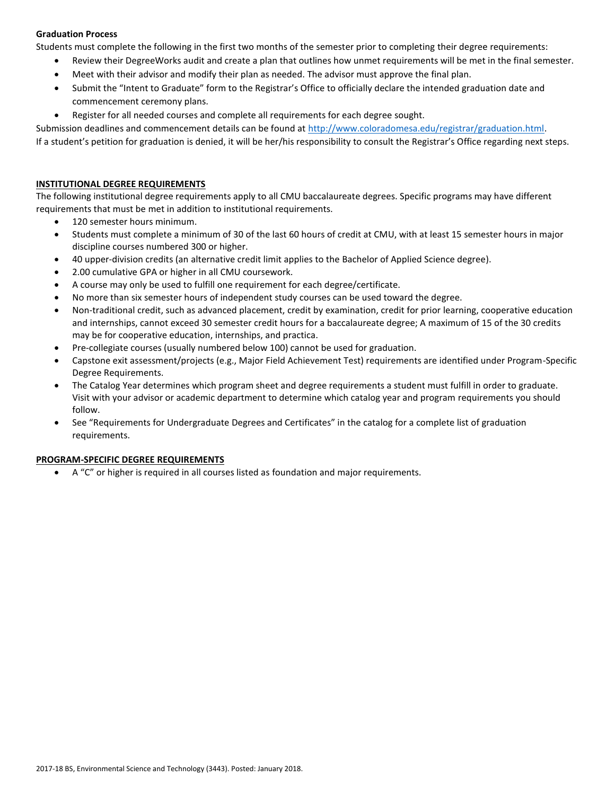# **Graduation Process**

Students must complete the following in the first two months of the semester prior to completing their degree requirements:

- Review their DegreeWorks audit and create a plan that outlines how unmet requirements will be met in the final semester.
- Meet with their advisor and modify their plan as needed. The advisor must approve the final plan.
- Submit the "Intent to Graduate" form to the Registrar's Office to officially declare the intended graduation date and commencement ceremony plans.
- Register for all needed courses and complete all requirements for each degree sought.

Submission deadlines and commencement details can be found at [http://www.coloradomesa.edu/registrar/graduation.html.](http://www.coloradomesa.edu/registrar/graduation.html)

If a student's petition for graduation is denied, it will be her/his responsibility to consult the Registrar's Office regarding next steps.

# **INSTITUTIONAL DEGREE REQUIREMENTS**

The following institutional degree requirements apply to all CMU baccalaureate degrees. Specific programs may have different requirements that must be met in addition to institutional requirements.

- 120 semester hours minimum.
- Students must complete a minimum of 30 of the last 60 hours of credit at CMU, with at least 15 semester hours in major discipline courses numbered 300 or higher.
- 40 upper-division credits (an alternative credit limit applies to the Bachelor of Applied Science degree).
- 2.00 cumulative GPA or higher in all CMU coursework.
- A course may only be used to fulfill one requirement for each degree/certificate.
- No more than six semester hours of independent study courses can be used toward the degree.
- Non-traditional credit, such as advanced placement, credit by examination, credit for prior learning, cooperative education and internships, cannot exceed 30 semester credit hours for a baccalaureate degree; A maximum of 15 of the 30 credits may be for cooperative education, internships, and practica.
- Pre-collegiate courses (usually numbered below 100) cannot be used for graduation.
- Capstone exit assessment/projects (e.g., Major Field Achievement Test) requirements are identified under Program-Specific Degree Requirements.
- The Catalog Year determines which program sheet and degree requirements a student must fulfill in order to graduate. Visit with your advisor or academic department to determine which catalog year and program requirements you should follow.
- See "Requirements for Undergraduate Degrees and Certificates" in the catalog for a complete list of graduation requirements.

# **PROGRAM-SPECIFIC DEGREE REQUIREMENTS**

A "C" or higher is required in all courses listed as foundation and major requirements.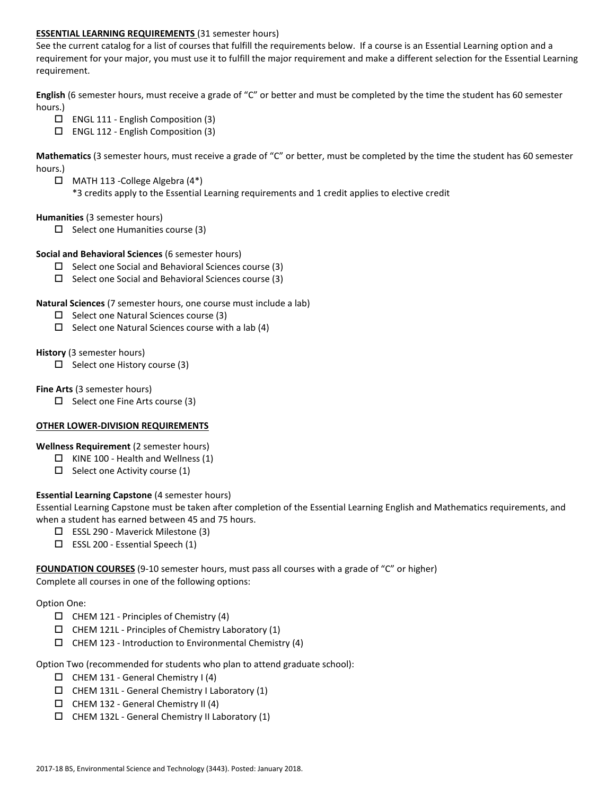### **ESSENTIAL LEARNING REQUIREMENTS** (31 semester hours)

See the current catalog for a list of courses that fulfill the requirements below. If a course is an Essential Learning option and a requirement for your major, you must use it to fulfill the major requirement and make a different selection for the Essential Learning requirement.

**English** (6 semester hours, must receive a grade of "C" or better and must be completed by the time the student has 60 semester hours.)

- $\Box$  ENGL 111 English Composition (3)
- $\Box$  ENGL 112 English Composition (3)

**Mathematics** (3 semester hours, must receive a grade of "C" or better, must be completed by the time the student has 60 semester hours.)

 MATH 113 -College Algebra (4\*) \*3 credits apply to the Essential Learning requirements and 1 credit applies to elective credit

### **Humanities** (3 semester hours)

 $\Box$  Select one Humanities course (3)

### **Social and Behavioral Sciences** (6 semester hours)

- $\square$  Select one Social and Behavioral Sciences course (3)
- $\Box$  Select one Social and Behavioral Sciences course (3)

### **Natural Sciences** (7 semester hours, one course must include a lab)

- $\square$  Select one Natural Sciences course (3)
- $\Box$  Select one Natural Sciences course with a lab (4)

### **History** (3 semester hours)

 $\Box$  Select one History course (3)

### **Fine Arts** (3 semester hours)

 $\Box$  Select one Fine Arts course (3)

# **OTHER LOWER-DIVISION REQUIREMENTS**

# **Wellness Requirement** (2 semester hours)

- $\Box$  KINE 100 Health and Wellness (1)
- $\Box$  Select one Activity course (1)

# **Essential Learning Capstone** (4 semester hours)

Essential Learning Capstone must be taken after completion of the Essential Learning English and Mathematics requirements, and when a student has earned between 45 and 75 hours.

- $\Box$  ESSL 290 Maverick Milestone (3)
- $\square$  ESSL 200 Essential Speech (1)

**FOUNDATION COURSES** (9-10 semester hours, must pass all courses with a grade of "C" or higher) Complete all courses in one of the following options:

### Option One:

- $\Box$  CHEM 121 Principles of Chemistry (4)
- $\Box$  CHEM 121L Principles of Chemistry Laboratory (1)
- $\Box$  CHEM 123 Introduction to Environmental Chemistry (4)

### Option Two (recommended for students who plan to attend graduate school):

- $\Box$  CHEM 131 General Chemistry I (4)
- $\Box$  CHEM 131L General Chemistry I Laboratory (1)
- $\Box$  CHEM 132 General Chemistry II (4)
- $\Box$  CHEM 132L General Chemistry II Laboratory (1)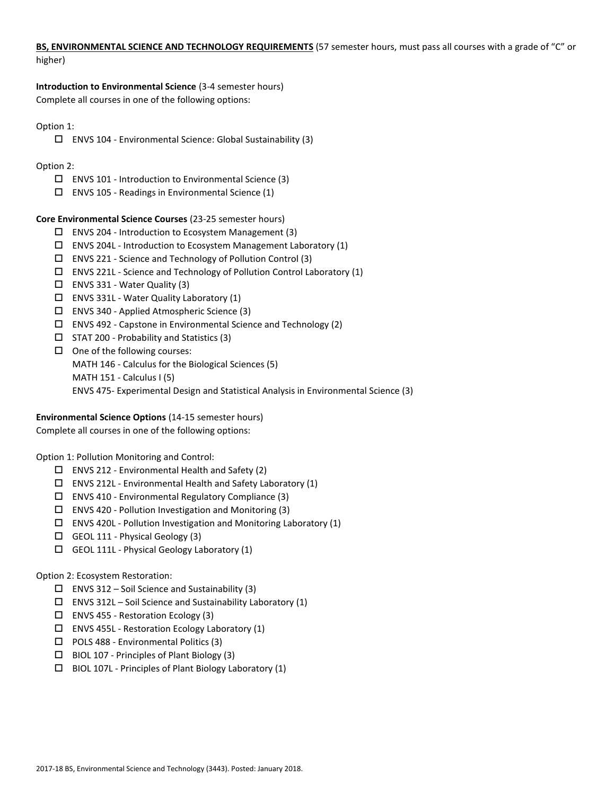# **BS, ENVIRONMENTAL SCIENCE AND TECHNOLOGY REQUIREMENTS** (57 semester hours, must pass all courses with a grade of "C" or higher)

**Introduction to Environmental Science** (3-4 semester hours) Complete all courses in one of the following options:

# Option 1:

ENVS 104 - Environmental Science: Global Sustainability (3)

# Option 2:

- $\square$  ENVS 101 Introduction to Environmental Science (3)
- $\square$  ENVS 105 Readings in Environmental Science (1)

# **Core Environmental Science Courses** (23-25 semester hours)

- ENVS 204 Introduction to Ecosystem Management (3)
- ENVS 204L Introduction to Ecosystem Management Laboratory (1)
- ENVS 221 Science and Technology of Pollution Control (3)
- ENVS 221L Science and Technology of Pollution Control Laboratory (1)
- $\Box$  ENVS 331 Water Quality (3)
- ENVS 331L Water Quality Laboratory (1)
- ENVS 340 Applied Atmospheric Science (3)
- ENVS 492 Capstone in Environmental Science and Technology (2)
- $\square$  STAT 200 Probability and Statistics (3)
- $\Box$  One of the following courses:
	- MATH 146 Calculus for the Biological Sciences (5)
	- MATH 151 Calculus I (5)
	- ENVS 475- Experimental Design and Statistical Analysis in Environmental Science (3)

# **Environmental Science Options** (14-15 semester hours)

Complete all courses in one of the following options:

Option 1: Pollution Monitoring and Control:

- $\Box$  ENVS 212 Environmental Health and Safety (2)
- $\square$  ENVS 212L Environmental Health and Safety Laboratory (1)
- ENVS 410 Environmental Regulatory Compliance (3)
- $\Box$  ENVS 420 Pollution Investigation and Monitoring (3)
- ENVS 420L Pollution Investigation and Monitoring Laboratory (1)
- GEOL 111 Physical Geology (3)
- GEOL 111L Physical Geology Laboratory (1)

# Option 2: Ecosystem Restoration:

- $\square$  ENVS 312 Soil Science and Sustainability (3)
- ENVS 312L Soil Science and Sustainability Laboratory  $(1)$
- ENVS 455 Restoration Ecology (3)
- $\square$  ENVS 455L Restoration Ecology Laboratory (1)
- □ POLS 488 Environmental Politics (3)
- $\Box$  BIOL 107 Principles of Plant Biology (3)
- $\Box$  BIOL 107L Principles of Plant Biology Laboratory (1)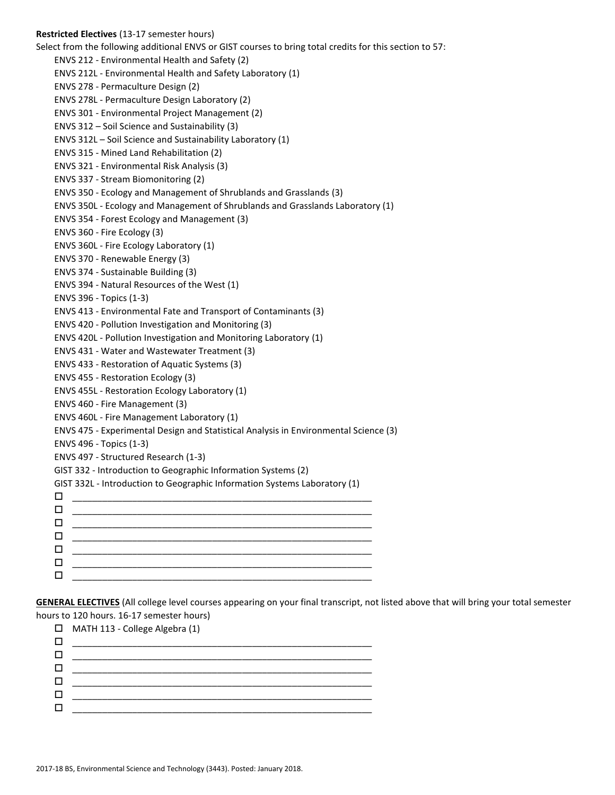**Restricted Electives** (13-17 semester hours) Select from the following additional ENVS or GIST courses to bring total credits for this section to 57: ENVS 212 - Environmental Health and Safety (2) ENVS 212L - Environmental Health and Safety Laboratory (1) ENVS 278 - Permaculture Design (2) ENVS 278L - Permaculture Design Laboratory (2) ENVS 301 - Environmental Project Management (2) ENVS 312 – Soil Science and Sustainability (3) ENVS 312L – Soil Science and Sustainability Laboratory (1) ENVS 315 - Mined Land Rehabilitation (2) ENVS 321 - Environmental Risk Analysis (3) ENVS 337 - Stream Biomonitoring (2) ENVS 350 - Ecology and Management of Shrublands and Grasslands (3) ENVS 350L - Ecology and Management of Shrublands and Grasslands Laboratory (1) ENVS 354 - Forest Ecology and Management (3) ENVS 360 - Fire Ecology (3) ENVS 360L - Fire Ecology Laboratory (1) ENVS 370 - Renewable Energy (3) ENVS 374 - Sustainable Building (3) ENVS 394 - Natural Resources of the West (1) ENVS 396 - Topics (1-3) ENVS 413 - Environmental Fate and Transport of Contaminants (3) ENVS 420 - Pollution Investigation and Monitoring (3) ENVS 420L - Pollution Investigation and Monitoring Laboratory (1) ENVS 431 - Water and Wastewater Treatment (3) ENVS 433 - Restoration of Aquatic Systems (3) ENVS 455 - Restoration Ecology (3) ENVS 455L - Restoration Ecology Laboratory (1) ENVS 460 - Fire Management (3) ENVS 460L - Fire Management Laboratory (1) ENVS 475 - Experimental Design and Statistical Analysis in Environmental Science (3) ENVS 496 - Topics (1-3) ENVS 497 - Structured Research (1-3) GIST 332 - Introduction to Geographic Information Systems (2) GIST 332L - Introduction to Geographic Information Systems Laboratory (1) \_\_\_\_\_\_\_\_\_\_\_\_\_\_\_\_\_\_\_\_\_\_\_\_\_\_\_\_\_\_\_\_\_\_\_\_\_\_\_\_\_\_\_\_\_\_\_\_\_\_\_\_\_\_\_\_\_\_\_\_ \_\_\_\_\_\_\_\_\_\_\_\_\_\_\_\_\_\_\_\_\_\_\_\_\_\_\_\_\_\_\_\_\_\_\_\_\_\_\_\_\_\_\_\_\_\_\_\_\_\_\_\_\_\_\_\_\_\_\_\_  $\Box$  . The contract of the contract of the contract of the contract of the contract of the contract of the contract of the contract of the contract of the contract of the contract of the contract of the contract of the co \_\_\_\_\_\_\_\_\_\_\_\_\_\_\_\_\_\_\_\_\_\_\_\_\_\_\_\_\_\_\_\_\_\_\_\_\_\_\_\_\_\_\_\_\_\_\_\_\_\_\_\_\_\_\_\_\_\_\_\_  $\Box$  \_\_\_\_\_\_\_\_\_\_\_\_\_\_\_\_\_\_\_\_\_\_\_\_\_\_\_\_\_\_\_\_\_\_\_\_\_\_\_\_\_\_\_\_\_\_\_\_\_\_\_\_\_\_\_\_\_\_\_\_ \_\_\_\_\_\_\_\_\_\_\_\_\_\_\_\_\_\_\_\_\_\_\_\_\_\_\_\_\_\_\_\_\_\_\_\_\_\_\_\_\_\_\_\_\_\_\_\_\_\_\_\_\_\_\_\_\_\_\_\_

**GENERAL ELECTIVES** (All college level courses appearing on your final transcript, not listed above that will bring your total semester hours to 120 hours. 16-17 semester hours)

|        | $\Box$ MATH 113 - College Algebra (1) |
|--------|---------------------------------------|
| □      |                                       |
| $\Box$ |                                       |
| $\Box$ |                                       |
| $\Box$ |                                       |
| $\Box$ |                                       |
| $\Box$ |                                       |
|        |                                       |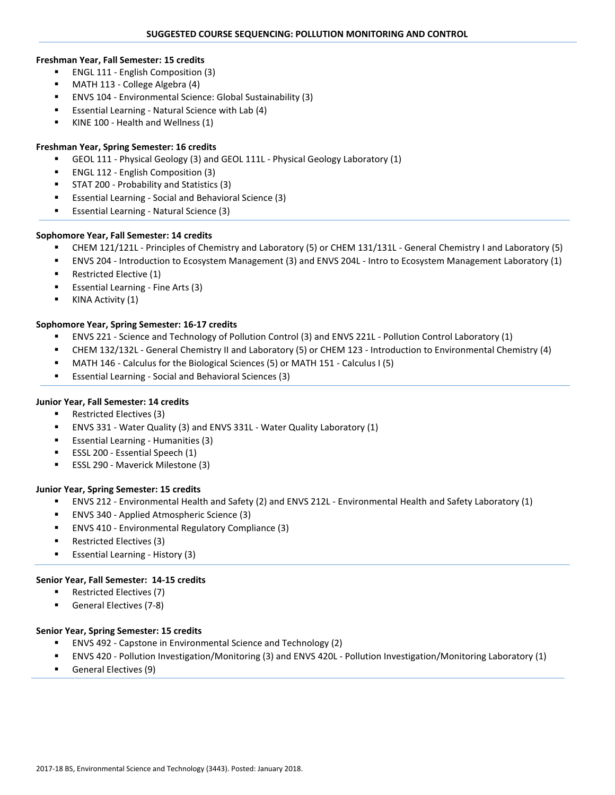#### **Freshman Year, Fall Semester: 15 credits**

- **ENGL 111 English Composition (3)**
- MATH 113 College Algebra (4)
- ENVS 104 Environmental Science: Global Sustainability (3)
- Essential Learning Natural Science with Lab (4)
- KINE 100 Health and Wellness (1)

### **Freshman Year, Spring Semester: 16 credits**

- GEOL 111 Physical Geology (3) and GEOL 111L Physical Geology Laboratory (1)
- ENGL 112 English Composition (3)
- STAT 200 Probability and Statistics (3)
- Essential Learning Social and Behavioral Science (3)
- **Essential Learning Natural Science (3)**

### **Sophomore Year, Fall Semester: 14 credits**

- CHEM 121/121L Principles of Chemistry and Laboratory (5) or CHEM 131/131L General Chemistry I and Laboratory (5)
- ENVS 204 Introduction to Ecosystem Management (3) and ENVS 204L Intro to Ecosystem Management Laboratory (1)
- Restricted Elective (1)
- Essential Learning Fine Arts (3)
- KINA Activity (1)

### **Sophomore Year, Spring Semester: 16-17 credits**

- ENVS 221 Science and Technology of Pollution Control (3) and ENVS 221L Pollution Control Laboratory (1)
- CHEM 132/132L General Chemistry II and Laboratory (5) or CHEM 123 Introduction to Environmental Chemistry (4)
- MATH 146 Calculus for the Biological Sciences (5) or MATH 151 Calculus I (5)
- Essential Learning Social and Behavioral Sciences (3)

### **Junior Year, Fall Semester: 14 credits**

- Restricted Electives (3)
- ENVS 331 Water Quality (3) and ENVS 331L Water Quality Laboratory (1)
- Essential Learning Humanities (3)
- **ESSL 200 Essential Speech (1)**
- ESSL 290 Maverick Milestone (3)

### **Junior Year, Spring Semester: 15 credits**

- ENVS 212 Environmental Health and Safety (2) and ENVS 212L Environmental Health and Safety Laboratory (1)
- ENVS 340 Applied Atmospheric Science (3)
- ENVS 410 Environmental Regulatory Compliance (3)
- Restricted Electives (3)
- **Essential Learning History (3)**

### **Senior Year, Fall Semester: 14-15 credits**

- Restricted Electives (7)
- **General Electives (7-8)**

### **Senior Year, Spring Semester: 15 credits**

- ENVS 492 Capstone in Environmental Science and Technology (2)
- ENVS 420 Pollution Investigation/Monitoring (3) and ENVS 420L Pollution Investigation/Monitoring Laboratory (1)
- General Electives (9)